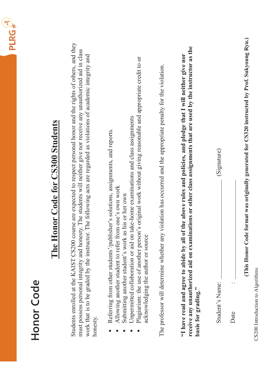| ÌŊ, |
|-----|
|     |
|     |

## **Honor Code**

# **The Honor Code for CS300 The Honor Code for CS300 Students**

Students enrolled at the KAIST CS200 course are expected to respect personal honor and the rights of others, and they Students enrolled at the KAIST CS200 course are expected to respect personal honor and the rights of others, and they must possess personal integrity and honesty. The students will neither give nor receive any unauthorized aid in class must possess personal integrity and honesty. The students will neither give nor receive any unauthorized aid in class work that is to be graded by the instructor. The following acts are regarded as violations of academic integrity and work that is to be graded by the instructor. The following acts are regarded as violations of academic integrity and ts enrolled at the KAIST CS200 honesty.

- Referring from other students'/publisher's solutions, assignments, and reports. Referring from other students'/publisher's solutions, assignments, and reports. ß
	- Allowing another student to refer from one's own work Allowing another student to refer from one's own work ß
		- Submitting another student's work as his or her own Submitting another student's work as his or her own

ß

- Unpermitted collaboration or aid on take-home examinations and class assignments Unpermitted collaboration or aid on take-home examinations and class assignments ß
- Plagiarism: the use of another person's original work without giving reasonable and appropriate credit to or Plagiarism: the use of another person's original work without giving reasonable and appropriate credit to or acknowledging the author or source acknowledging the author or source ß

The professor will determine whether any violation has occurred and the appropriate penalty for the violation. The professor will determine whether any violation has occurred and the appropriate penalty for the violation.

**receive any unauthorized aid on examinations or other class assignments that are used by the instructor as the**  receive any unauthorized aid on examinations or other class assignments that are used by the instructor as the **"I have read and agree to abide by all of the above rules and policies, and pledge that I will neither give nor**  "I have read and agree to abide by all of the above rules and policies, and pledge that I will neither give nor basis for grading." **basis for grading."**

| <b>Separate</b><br>l                                                      |  |
|---------------------------------------------------------------------------|--|
|                                                                           |  |
|                                                                           |  |
|                                                                           |  |
| ׇ֠<br>֖֖֖֖֖֧ׅׅׅׅ֖֧֧ׅ֧ׅ֧֚֚֚֚֚֚֚֚֚֚֚֚֚֚֚֚֚֚֚֚֚֚֡֝֝֝֝֝֬֝֬֓֝֬֝֓֞֝֬֓֬֝֓֬֝֬֝֬֝֬ |  |

| $\mathsf{Date}$ |  |
|-----------------|--|
|                 |  |
|                 |  |

(This Honor Code format was originally generated for CS320 instructed by Prof. Sukyoung Ryu.) **(This Honor Code format was originally generated for Prof. Sukyoung Ryu.) CS320 instructed by**

CS200 Introduction to Algorithms CS200 Introduction to Algorithms